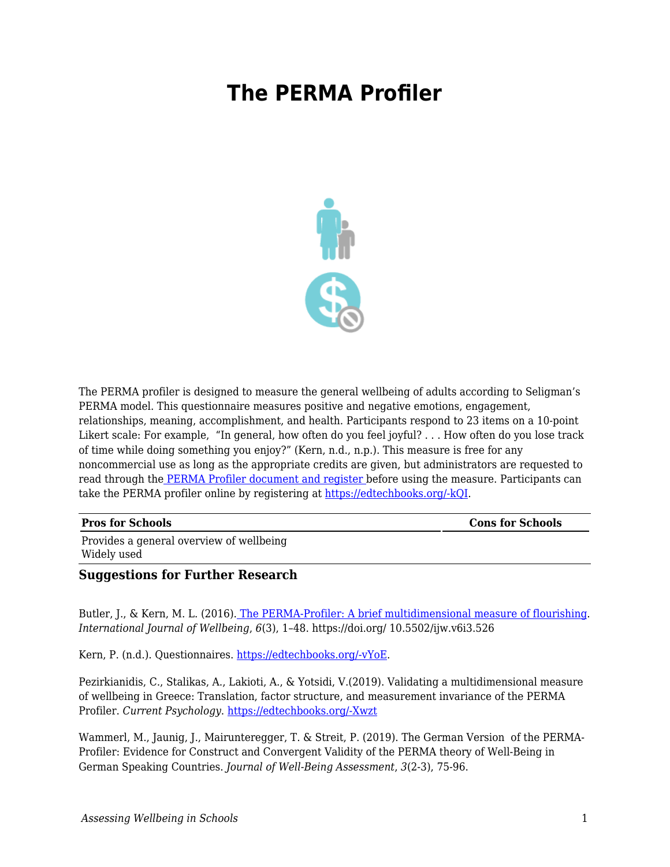## **The PERMA Profiler**



The PERMA profiler is designed to measure the general wellbeing of adults according to Seligman's PERMA model. This questionnaire measures positive and negative emotions, engagement, relationships, meaning, accomplishment, and health. Participants respond to 23 items on a 10-point Likert scale: For example, "In general, how often do you feel joyful? . . . How often do you lose track of time while doing something you enjoy?" (Kern, n.d., n.p.). This measure is free for any noncommercial use as long as the appropriate credits are given, but administrators are requested to read through the [PERMA Profiler document and register b](http://www.peggykern.org/questionnaires.html)efore using the measure. Participants can take the PERMA profiler online by registering at [https://edtechbooks.org/-kQI.](https://www.authentichappiness.sas.upenn.edu/)

**Pros for Schools Constant Constant Constant Constant Constant Constant Constant Constant Constant Constant Constant Constant Constant Constant Constant Constant Constant Constant Constant Constant Constant Constant Cons** 

Provides a general overview of wellbeing Widely used

## **Suggestions for Further Research**

Butler, J., & Kern, M. L. (2016). [The PERMA-Profiler: A brief multidimensional measure of flourishing.](https://internationaljournalofwellbeing.org/index.php/ijow/article/view/526/579) *International Journal of Wellbeing*, *6*(3), 1–48. https://doi.org/ 10.5502/ijw.v6i3.526

Kern, P. (n.d.). Questionnaires. [https://edtechbooks.org/-vYoE.](http://www.peggykern.org/questionnaires.html)

Pezirkianidis, C., Stalikas, A., Lakioti, A., & Yotsidi, V.(2019). Validating a multidimensional measure of wellbeing in Greece: Translation, factor structure, and measurement invariance of the PERMA Profiler. *Current Psychology*. [https://edtechbooks.org/-Xwzt](https://doi.org/10.1007/s12144-019-00236-7)

Wammerl, M., Jaunig, J., Mairunteregger, T. & Streit, P. (2019). The German Version of the PERMA-Profiler: Evidence for Construct and Convergent Validity of the PERMA theory of Well-Being in German Speaking Countries. *Journal of Well-Being Assessment*, *3*(2-3), 75-96.